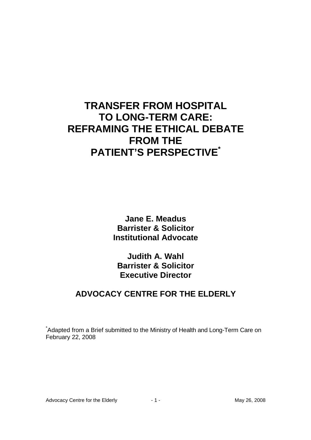# **TRANSFER FROM HOSPITAL TO LONG-TERM CARE: REFRAMING THE ETHICAL DEBATE FROM THE PATIENT'S PERSPECTIVE\***

**Jane E. Meadus Barrister & Solicitor Institutional Advocate** 

**Judith A. Wahl Barrister & Solicitor Executive Director** 

## **ADVOCACY CENTRE FOR THE ELDERLY**

\*Adapted from a Brief submitted to the Ministry of Health and Long-Term Care on February 22, 2008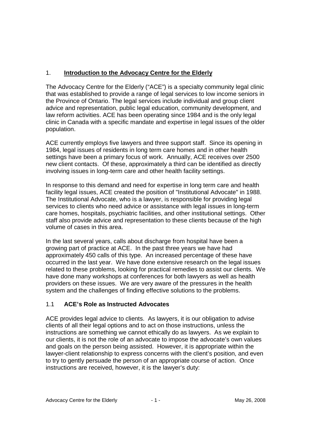## 1. **Introduction to the Advocacy Centre for the Elderly**

The Advocacy Centre for the Elderly ("ACE") is a specialty community legal clinic that was established to provide a range of legal services to low income seniors in the Province of Ontario. The legal services include individual and group client advice and representation, public legal education, community development, and law reform activities. ACE has been operating since 1984 and is the only legal clinic in Canada with a specific mandate and expertise in legal issues of the older population.

ACE currently employs five lawyers and three support staff. Since its opening in 1984, legal issues of residents in long term care homes and in other health settings have been a primary focus of work. Annually, ACE receives over 2500 new client contacts. Of these, approximately a third can be identified as directly involving issues in long-term care and other health facility settings.

In response to this demand and need for expertise in long term care and health facility legal issues, ACE created the position of "Institutional Advocate" in 1988. The Institutional Advocate, who is a lawyer, is responsible for providing legal services to clients who need advice or assistance with legal issues in long-term care homes, hospitals, psychiatric facilities, and other institutional settings. Other staff also provide advice and representation to these clients because of the high volume of cases in this area.

In the last several years, calls about discharge from hospital have been a growing part of practice at ACE. In the past three years we have had approximately 450 calls of this type. An increased percentage of these have occurred in the last year. We have done extensive research on the legal issues related to these problems, looking for practical remedies to assist our clients. We have done many workshops at conferences for both lawyers as well as health providers on these issues. We are very aware of the pressures in the health system and the challenges of finding effective solutions to the problems.

## 1.1 **ACE's Role as Instructed Advocates**

ACE provides legal advice to clients. As lawyers, it is our obligation to advise clients of all their legal options and to act on those instructions, unless the instructions are something we cannot ethically do as lawyers. As we explain to our clients, it is not the role of an advocate to impose the advocate's own values and goals on the person being assisted. However, it is appropriate within the lawyer-client relationship to express concerns with the client's position, and even to try to gently persuade the person of an appropriate course of action. Once instructions are received, however, it is the lawyer's duty: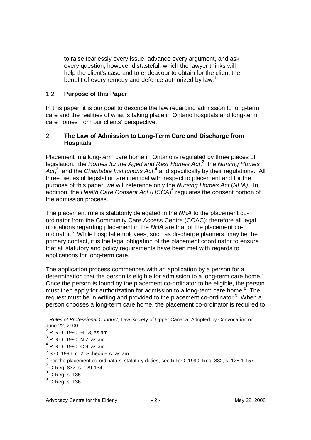to raise fearlessly every issue, advance every argument, and ask every question, however distasteful, which the lawyer thinks will help the client's case and to endeavour to obtain for the client the benefit of every remedy and defence authorized by law.<sup>1</sup>

#### 1.2 **Purpose of this Paper**

In this paper, it is our goal to describe the law regarding admission to long-term care and the realities of what is taking place in Ontario hospitals and long-term care homes from our clients' perspective.

#### 2. **The Law of Admission to Long-Term Care and Discharge from Hospitals**

Placement in a long-term care home in Ontario is regulated by three pieces of legislation: the Homes for the Aged and Rest Homes Act, $2$  the Nursing Homes  $Act<sub>1</sub><sup>3</sup>$  and the Charitable Institutions Act,<sup>4</sup> and specifically by their regulations. All three pieces of legislation are identical with respect to placement and for the purpose of this paper, we will reference only the Nursing Homes Act (NHA). In addition, the Health Care Consent Act (HCCA)<sup>5</sup> regulates the consent portion of the admission process.

The placement role is statutorily delegated in the NHA to the placement coordinator from the Community Care Access Centre (CCAC); therefore all legal obligations regarding placement in the NHA are that of the placement coordinator.<sup>6</sup> While hospital employees, such as discharge planners, may be the primary contact, it is the legal obligation of the placement coordinator to ensure that all statutory and policy requirements have been met with regards to applications for long-term care.

The application process commences with an application by a person for a determination that the person is eligible for admission to a long-term care home.<sup>7</sup> Once the person is found by the placement co-ordinator to be eligible, the person must then apply for authorization for admission to a long-term care home.<sup>8</sup> The request must be in writing and provided to the placement co-ordinator.<sup>9</sup> When a person chooses a long-term care home, the placement co-ordinator is required to

- $<sup>5</sup>$  S.O. 1996, c. 2, Schedule A, as am.</sup>
- $^6$  For the placement co-ordinators' statutory duties, see R.R.O. 1990, Reg. 832, s. 128.1-157.
- <sup>7</sup> O.Reg. 832, s. 129-134

 $1$  Rules of Professional Conduct, Law Society of Upper Canada, Adopted by Convocation on June 22, 2000 2 R.S.O. 1990, H.13, as am.

 $^3$  R.S.O. 1990, N.7, as am.

 $^4$  R.S.O. 1990, C.9, as am.

<sup>8</sup> O.Reg. s. 135.

 $<sup>9</sup>$  O.Reg. s. 136.</sup>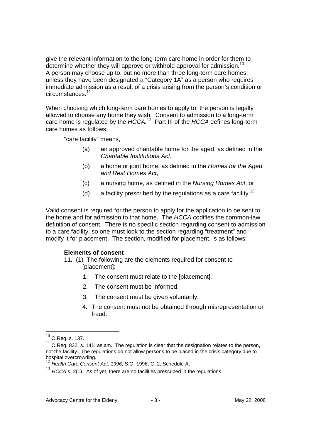give the relevant information to the long-term care home in order for them to determine whether they will approve or withhold approval for admission.<sup>10</sup> A person may choose up to, but no more than three long-term care homes, unless they have been designated a "Category 1A" as a person who requires immediate admission as a result of a crisis arising from the person's condition or circumstances.<sup>11</sup>

When choosing which long-term care homes to apply to, the person is legally allowed to choose any home they wish. Consent to admission to a long-term care home is regulated by the  $HCCA.^{12}$  Part III of the  $HCCA$  defines long-term care homes as follows:

"care facility" means,

- (a) an approved charitable home for the aged, as defined in the Charitable Institutions Act,
- (b) a home or joint home, as defined in the Homes for the Aged and Rest Homes Act,
- (c) a nursing home, as defined in the Nursing Homes Act, or
- (d) a facility prescribed by the regulations as a care facility.<sup>13</sup>

Valid consent is required for the person to apply for the application to be sent to the home and for admission to that home. The HCCA codifies the common-law definition of consent. There is no specific section regarding consent to admission to a care facility, so one must look to the section regarding "treatment" and modify it for placement. The section, modified for placement, is as follows:

#### **Elements of consent**

- 11**.** (1) The following are the elements required for consent to [placement]:
	- 1. The consent must relate to the [placement].
	- 2. The consent must be informed.
	- 3. The consent must be given voluntarily.
	- 4. The consent must not be obtained through misrepresentation or fraud.

 $10$  O.Reg. s. 137.

 $11$  O.Reg. 832, s. 141, as am. The regulation is clear that the designation relates to the person, not the facility. The regulations do not allow persons to be placed in the crisis category due to hospital overcrowding.

 $12$  Health Care Consent Act, 1996, S.O. 1996, C. 2, Schedule A.

 $13$  HCCA s. 2(1). As of yet, there are no facilities prescribed in the regulations.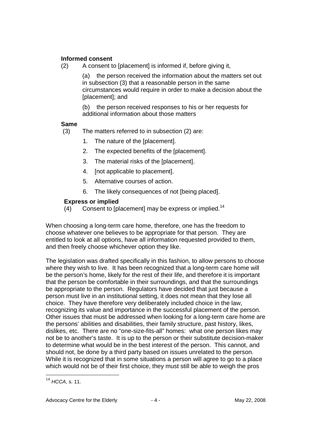#### **Informed consent**

(2) A consent to [placement] is informed if, before giving it,

 (a) the person received the information about the matters set out in subsection (3) that a reasonable person in the same circumstances would require in order to make a decision about the [placement]; and

(b) the person received responses to his or her requests for additional information about those matters

#### **Same**

- (3) The matters referred to in subsection (2) are:
	- 1. The nature of the [placement].
	- 2. The expected benefits of the [placement].
	- 3. The material risks of the [placement].
	- 4. [not applicable to placement].
	- 5. Alternative courses of action.
	- 6. The likely consequences of not [being placed].

#### **Express or implied**

(4) Consent to [placement] may be express or implied.<sup>14</sup>

When choosing a long-term care home, therefore, one has the freedom to choose whatever one believes to be appropriate for that person. They are entitled to look at all options, have all information requested provided to them, and then freely choose whichever option they like.

The legislation was drafted specifically in this fashion, to allow persons to choose where they wish to live. It has been recognized that a long-term care home will be the person's home, likely for the rest of their life, and therefore it is important that the person be comfortable in their surroundings, and that the surroundings be appropriate to the person. Regulators have decided that just because a person must live in an institutional setting, it does not mean that they lose all choice. They have therefore very deliberately included choice in the law, recognizing its value and importance in the successful placement of the person. Other issues that must be addressed when looking for a long-term care home are the persons' abilities and disabilities, their family structure, past history, likes, dislikes, etc. There are no "one-size-fits-all" homes: what one person likes may not be to another's taste. It is up to the person or their substitute decision-maker to determine what would be in the best interest of the person. This cannot, and should not, be done by a third party based on issues unrelated to the person. While it is recognized that in some situations a person will agree to go to a place which would not be of their first choice, they must still be able to weigh the pros

<u>.</u>

 $14$  HCCA, s. 11.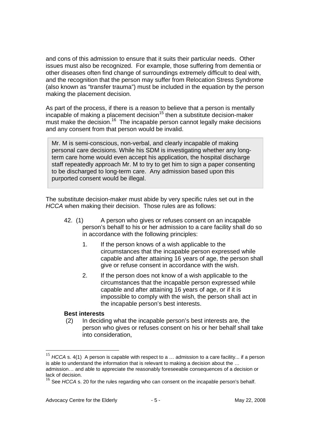and cons of this admission to ensure that it suits their particular needs. Other issues must also be recognized. For example, those suffering from dementia or other diseases often find change of surroundings extremely difficult to deal with, and the recognition that the person may suffer from Relocation Stress Syndrome (also known as "transfer trauma") must be included in the equation by the person making the placement decision.

As part of the process, if there is a reason to believe that a person is mentally  $incapable$  of making a placement decision<sup>15</sup> then a substitute decision-maker must make the decision.<sup>16</sup> The incapable person cannot legally make decisions and any consent from that person would be invalid.

Mr. M is semi-conscious, non-verbal, and clearly incapable of making personal care decisions. While his SDM is investigating whether any longterm care home would even accept his application, the hospital discharge staff repeatedly approach Mr. M to try to get him to sign a paper consenting to be discharged to long-term care. Any admission based upon this purported consent would be illegal.

The substitute decision-maker must abide by very specific rules set out in the HCCA when making their decision. Those rules are as follows:

- 42. (1) A person who gives or refuses consent on an incapable person's behalf to his or her admission to a care facility shall do so in accordance with the following principles:
	- 1. If the person knows of a wish applicable to the circumstances that the incapable person expressed while capable and after attaining 16 years of age, the person shall give or refuse consent in accordance with the wish.
	- 2. If the person does not know of a wish applicable to the circumstances that the incapable person expressed while capable and after attaining 16 years of age, or if it is impossible to comply with the wish, the person shall act in the incapable person's best interests.

#### **Best interests**

 (2) In deciding what the incapable person's best interests are, the person who gives or refuses consent on his or her behalf shall take into consideration,

 $15$  HCCA s. 4(1) A person is capable with respect to a ... admission to a care facility... if a person is able to understand the information that is relevant to making a decision about the … admission… and able to appreciate the reasonably foreseeable consequences of a decision or lack of decision.

 $16$  See HCCA s. 20 for the rules regarding who can consent on the incapable person's behalf.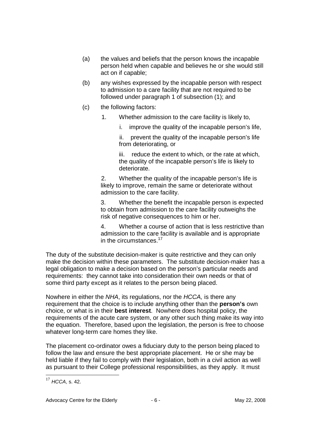- (a) the values and beliefs that the person knows the incapable person held when capable and believes he or she would still act on if capable;
- (b) any wishes expressed by the incapable person with respect to admission to a care facility that are not required to be followed under paragraph 1 of subsection (1); and
- (c) the following factors:
	- 1. Whether admission to the care facility is likely to,
		- i. improve the quality of the incapable person's life,

 ii. prevent the quality of the incapable person's life from deteriorating, or

 iii. reduce the extent to which, or the rate at which, the quality of the incapable person's life is likely to deteriorate.

 2. Whether the quality of the incapable person's life is likely to improve, remain the same or deteriorate without admission to the care facility.

3. Whether the benefit the incapable person is expected to obtain from admission to the care facility outweighs the risk of negative consequences to him or her.

4. Whether a course of action that is less restrictive than admission to the care facility is available and is appropriate in the circumstances.<sup>17</sup>

The duty of the substitute decision-maker is quite restrictive and they can only make the decision within these parameters. The substitute decision-maker has a legal obligation to make a decision based on the person's particular needs and requirements: they cannot take into consideration their own needs or that of some third party except as it relates to the person being placed.

Nowhere in either the NHA, its regulations, nor the HCCA, is there any requirement that the choice is to include anything other than the **person's** own choice, or what is in their **best interest**. Nowhere does hospital policy, the requirements of the acute care system, or any other such thing make its way into the equation. Therefore, based upon the legislation, the person is free to choose whatever long-term care homes they like.

The placement co-ordinator owes a fiduciary duty to the person being placed to follow the law and ensure the best appropriate placement. He or she may be held liable if they fail to comply with their legislation, both in a civil action as well as pursuant to their College professional responsibilities, as they apply. It must

<sup>&</sup>lt;u>.</u>  $17$  HCCA, s. 42.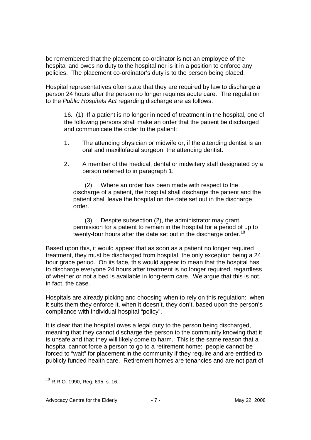be remembered that the placement co-ordinator is not an employee of the hospital and owes no duty to the hospital nor is it in a position to enforce any policies. The placement co-ordinator's duty is to the person being placed.

Hospital representatives often state that they are required by law to discharge a person 24 hours after the person no longer requires acute care. The regulation to the Public Hospitals Act regarding discharge are as follows:

16.(1) If a patient is no longer in need of treatment in the hospital, one of the following persons shall make an order that the patient be discharged and communicate the order to the patient:

- 1. The attending physician or midwife or, if the attending dentist is an oral and maxillofacial surgeon, the attending dentist.
- 2. A member of the medical, dental or midwifery staff designated by a person referred to in paragraph 1.

(2) Where an order has been made with respect to the discharge of a patient, the hospital shall discharge the patient and the patient shall leave the hospital on the date set out in the discharge order.

(3) Despite subsection (2), the administrator may grant permission for a patient to remain in the hospital for a period of up to twenty-four hours after the date set out in the discharge order.<sup>18</sup>

Based upon this, it would appear that as soon as a patient no longer required treatment, they must be discharged from hospital, the only exception being a 24 hour grace period. On its face, this would appear to mean that the hospital has to discharge everyone 24 hours after treatment is no longer required, regardless of whether or not a bed is available in long-term care. We argue that this is not, in fact, the case.

Hospitals are already picking and choosing when to rely on this regulation: when it suits them they enforce it, when it doesn't, they don't, based upon the person's compliance with individual hospital "policy".

It is clear that the hospital owes a legal duty to the person being discharged, meaning that they cannot discharge the person to the community knowing that it is unsafe and that they will likely come to harm. This is the same reason that a hospital cannot force a person to go to a retirement home: people cannot be forced to "wait" for placement in the community if they require and are entitled to publicly funded health care. Retirement homes are tenancies and are not part of

<u>.</u>

 $^{18}$  R.R.O. 1990, Reg. 695, s. 16.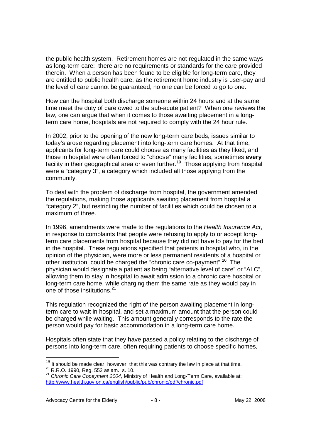the public health system. Retirement homes are not regulated in the same ways as long-term care: there are no requirements or standards for the care provided therein. When a person has been found to be eligible for long-term care, they are entitled to public health care, as the retirement home industry is user-pay and the level of care cannot be guaranteed, no one can be forced to go to one.

How can the hospital both discharge someone within 24 hours and at the same time meet the duty of care owed to the sub-acute patient? When one reviews the law, one can argue that when it comes to those awaiting placement in a longterm care home, hospitals are not required to comply with the 24 hour rule.

In 2002, prior to the opening of the new long-term care beds, issues similar to today's arose regarding placement into long-term care homes. At that time, applicants for long-term care could choose as many facilities as they liked, and those in hospital were often forced to "choose" many facilities, sometimes **every** facility in their geographical area or even further.<sup>19</sup> Those applying from hospital were a "category 3", a category which included all those applying from the community.

To deal with the problem of discharge from hospital, the government amended the regulations, making those applicants awaiting placement from hospital a "category 2", but restricting the number of facilities which could be chosen to a maximum of three.

In 1996, amendments were made to the regulations to the Health Insurance Act. in response to complaints that people were refusing to apply to or accept longterm care placements from hospital because they did not have to pay for the bed in the hospital. These regulations specified that patients in hospital who, in the opinion of the physician, were more or less permanent residents of a hospital or other institution, could be charged the "chronic care co-payment".<sup>20</sup> The physician would designate a patient as being "alternative level of care" or "ALC", allowing them to stay in hospital to await admission to a chronic care hospital or long-term care home, while charging them the same rate as they would pay in one of those institutions.<sup>21</sup>

This regulation recognized the right of the person awaiting placement in longterm care to wait in hospital, and set a maximum amount that the person could be charged while waiting. This amount generally corresponds to the rate the person would pay for basic accommodation in a long-term care home.

Hospitals often state that they have passed a policy relating to the discharge of persons into long-term care, often requiring patients to choose specific homes,

 $19$  It should be made clear, however, that this was contrary the law in place at that time. <sup>20</sup> R.R.O. 1990, Reg. 552 as am., s. 10.

<sup>&</sup>lt;sup>21</sup> Chronic Care Copayment 2004, Ministry of Health and Long-Term Care, available at: http://www.health.gov.on.ca/english/public/pub/chronic/pdf/chronic.pdf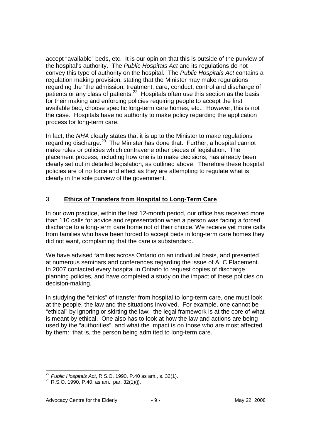accept "available" beds, etc. It is our opinion that this is outside of the purview of the hospital's authority. The Public Hospitals Act and its regulations do not convey this type of authority on the hospital. The Public Hospitals Act contains a regulation making provision, stating that the Minister may make regulations regarding the "the admission, treatment, care, conduct, control and discharge of patients or any class of patients.<sup>22</sup> Hospitals often use this section as the basis for their making and enforcing policies requiring people to accept the first available bed, choose specific long-term care homes, etc.. However, this is not the case. Hospitals have no authority to make policy regarding the application process for long-term care.

In fact, the NHA clearly states that it is up to the Minister to make regulations regarding discharge.<sup>23</sup> The Minister has done that. Further, a hospital cannot make rules or policies which contravene other pieces of legislation. The placement process, including how one is to make decisions, has already been clearly set out in detailed legislation, as outlined above. Therefore these hospital policies are of no force and effect as they are attempting to regulate what is clearly in the sole purview of the government.

## 3. **Ethics of Transfers from Hospital to Long-Term Care**

In our own practice, within the last 12-month period, our office has received more than 110 calls for advice and representation when a person was facing a forced discharge to a long-term care home not of their choice. We receive yet more calls from families who have been forced to accept beds in long-term care homes they did not want, complaining that the care is substandard.

We have advised families across Ontario on an individual basis, and presented at numerous seminars and conferences regarding the issue of ALC Placement. In 2007 contacted every hospital in Ontario to request copies of discharge planning policies, and have completed a study on the impact of these policies on decision-making.

In studying the "ethics" of transfer from hospital to long-term care, one must look at the people, the law and the situations involved. For example, one cannot be "ethical" by ignoring or skirting the law: the legal framework is at the core of what is meant by ethical. One also has to look at how the law and actions are being used by the "authorities", and what the impact is on those who are most affected by them: that is, the person being admitted to long-term care.

<sup>&</sup>lt;u>.</u>  $^{22}$  Public Hospitals Act, R.S.O. 1990, P.40 as am., s. 32(1).

 $^{23}$  R.S.O. 1990, P.40, as am., par. 32(1)(j).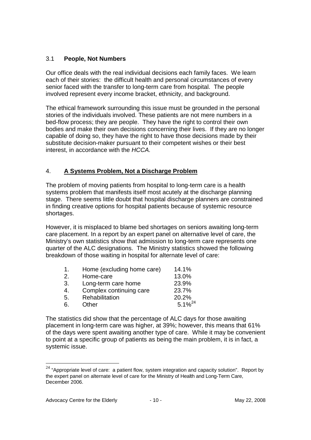#### 3.1 **People, Not Numbers**

Our office deals with the real individual decisions each family faces. We learn each of their stories: the difficult health and personal circumstances of every senior faced with the transfer to long-term care from hospital. The people involved represent every income bracket, ethnicity, and background.

The ethical framework surrounding this issue must be grounded in the personal stories of the individuals involved. These patients are not mere numbers in a bed-flow process; they are people. They have the right to control their own bodies and make their own decisions concerning their lives. If they are no longer capable of doing so, they have the right to have those decisions made by their substitute decision-maker pursuant to their competent wishes or their best interest, in accordance with the HCCA.

#### 4. **A Systems Problem, Not a Discharge Problem**

The problem of moving patients from hospital to long-term care is a health systems problem that manifests itself most acutely at the discharge planning stage. There seems little doubt that hospital discharge planners are constrained in finding creative options for hospital patients because of systemic resource shortages.

However, it is misplaced to blame bed shortages on seniors awaiting long-term care placement. In a report by an expert panel on alternative level of care, the Ministry's own statistics show that admission to long-term care represents one quarter of the ALC designations. The Ministry statistics showed the following breakdown of those waiting in hospital for alternate level of care:

| $\mathbf 1$ . | Home (excluding home care) | 14.1%        |
|---------------|----------------------------|--------------|
| 2.            | Home-care                  | 13.0%        |
| 3.            | Long-term care home        | 23.9%        |
| 4.            | Complex continuing care    | 23.7%        |
| 5.            | Rehabilitation             | 20.2%        |
| 6.            | Other                      | $5.1\%^{24}$ |

The statistics did show that the percentage of ALC days for those awaiting placement in long-term care was higher, at 39%; however, this means that 61% of the days were spent awaiting another type of care. While it may be convenient to point at a specific group of patients as being the main problem, it is in fact, a systemic issue.

 $^{24}$  "Appropriate level of care: a patient flow, system integration and capacity solution". Report by the expert panel on alternate level of care for the Ministry of Health and Long-Term Care, December 2006.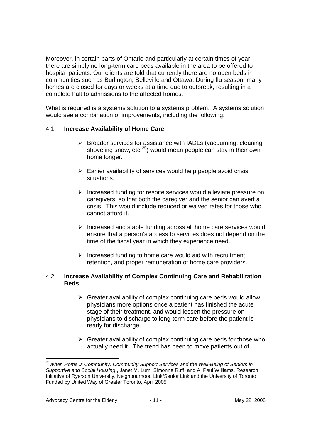Moreover, in certain parts of Ontario and particularly at certain times of year, there are simply no long-term care beds available in the area to be offered to hospital patients. Our clients are told that currently there are no open beds in communities such as Burlington, Belleville and Ottawa. During flu season, many homes are closed for days or weeks at a time due to outbreak, resulting in a complete halt to admissions to the affected homes.

What is required is a systems solution to a systems problem. A systems solution would see a combination of improvements, including the following:

#### 4.1 **Increase Availability of Home Care**

- $\triangleright$  Broader services for assistance with IADLs (vacuuming, cleaning, shoveling snow, etc.<sup>25</sup>) would mean people can stay in their own home longer.
- $\triangleright$  Earlier availability of services would help people avoid crisis situations.
- $\triangleright$  Increased funding for respite services would alleviate pressure on caregivers, so that both the caregiver and the senior can avert a crisis. This would include reduced or waived rates for those who cannot afford it.
- $\triangleright$  Increased and stable funding across all home care services would ensure that a person's access to services does not depend on the time of the fiscal year in which they experience need.
- $\triangleright$  Increased funding to home care would aid with recruitment, retention, and proper remuneration of home care providers.

#### 4.2 **Increase Availability of Complex Continuing Care and Rehabilitation Beds**

- $\triangleright$  Greater availability of complex continuing care beds would allow physicians more options once a patient has finished the acute stage of their treatment, and would lessen the pressure on physicians to discharge to long-term care before the patient is ready for discharge.
- $\triangleright$  Greater availability of complex continuing care beds for those who actually need it. The trend has been to move patients out of

<sup>&</sup>lt;sup>25</sup>When Home is Community: Community Support Services and the Well-Being of Seniors in Supportive and Social Housing , Janet M. Lum, Simonne Ruff, and A. Paul Williams, Research Initiative of Ryerson University, Neighbourhood Link/Senior Link and the University of Toronto Funded by United Way of Greater Toronto, April 2005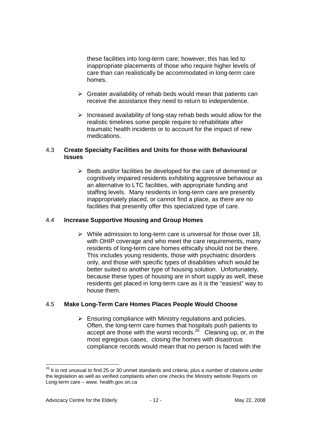these facilities into long-term care; however, this has led to inappropriate placements of those who require higher levels of care than can realistically be accommodated in long-term care homes.

- $\triangleright$  Greater availability of rehab beds would mean that patients can receive the assistance they need to return to independence.
- $\triangleright$  Increased availability of long-stay rehab beds would allow for the realistic timelines some people require to rehabilitate after traumatic health incidents or to account for the impact of new medications.

#### 4.3 **Create Specialty Facilities and Units for those with Behavioural Issues**

 $\triangleright$  Beds and/or facilities be developed for the care of demented or cognitively impaired residents exhibiting aggressive behaviour as an alternative to LTC facilities, with appropriate funding and staffing levels. Many residents in long-term care are presently inappropriately placed, or cannot find a place, as there are no facilities that presently offer this specialized type of care.

#### 4.4 **Increase Supportive Housing and Group Homes**

 $\triangleright$  While admission to long-term care is universal for those over 18, with OHIP coverage and who meet the care requirements, many residents of long-term care homes ethically should not be there. This includes young residents, those with psychiatric disorders only, and those with specific types of disabilities which would be better suited to another type of housing solution. Unfortunately, because these types of housing are in short supply as well, these residents get placed in long-term care as it is the "easiest" way to house them.

#### 4.5 **Make Long-Term Care Homes Places People Would Choose**

 $\triangleright$  Ensuring compliance with Ministry regulations and policies. Often, the long-term care homes that hospitals push patients to accept are those with the worst records.<sup>26</sup> Cleaning up, or, in the most egregious cases, closing the homes with disastrous compliance records would mean that no person is faced with the

 $^{26}$  It is not unusual to find 25 or 30 unmet standards and criteria, plus a number of citations under the legislation as well as verified complaints when one checks the Ministry website Reports on Long-term care – www. health.gov.on.ca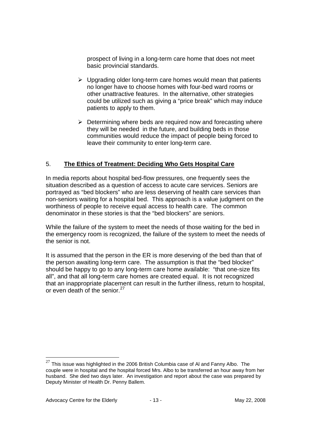prospect of living in a long-term care home that does not meet basic provincial standards.

- $\triangleright$  Upgrading older long-term care homes would mean that patients no longer have to choose homes with four-bed ward rooms or other unattractive features. In the alternative, other strategies could be utilized such as giving a "price break" which may induce patients to apply to them.
- $\triangleright$  Determining where beds are required now and forecasting where they will be needed in the future, and building beds in those communities would reduce the impact of people being forced to leave their community to enter long-term care.

## 5. **The Ethics of Treatment: Deciding Who Gets Hospital Care**

In media reports about hospital bed-flow pressures, one frequently sees the situation described as a question of access to acute care services. Seniors are portrayed as "bed blockers" who are less deserving of health care services than non-seniors waiting for a hospital bed. This approach is a value judgment on the worthiness of people to receive equal access to health care. The common denominator in these stories is that the "bed blockers" are seniors.

While the failure of the system to meet the needs of those waiting for the bed in the emergency room is recognized, the failure of the system to meet the needs of the senior is not.

It is assumed that the person in the ER is more deserving of the bed than that of the person awaiting long-term care. The assumption is that the "bed blocker" should be happy to go to any long-term care home available: "that one-size fits all", and that all long-term care homes are created equal. It is not recognized that an inappropriate placement can result in the further illness, return to hospital, or even death of the senior.<sup>27</sup>

 $27$  This issue was highlighted in the 2006 British Columbia case of AI and Fanny Albo. The couple were in hospital and the hospital forced Mrs. Albo to be transferred an hour away from her husband. She died two days later. An investigation and report about the case was prepared by Deputy Minister of Health Dr. Penny Ballem.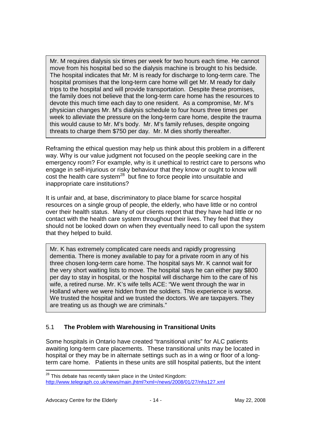Mr. M requires dialysis six times per week for two hours each time. He cannot move from his hospital bed so the dialysis machine is brought to his bedside. The hospital indicates that Mr. M is ready for discharge to long-term care. The hospital promises that the long-term care home will get Mr. M ready for daily trips to the hospital and will provide transportation. Despite these promises, the family does not believe that the long-term care home has the resources to devote this much time each day to one resident. As a compromise, Mr. M's physician changes Mr. M's dialysis schedule to four hours three times per week to alleviate the pressure on the long-term care home, despite the trauma this would cause to Mr. M's body. Mr. M's family refuses, despite ongoing threats to charge them \$750 per day. Mr. M dies shortly thereafter.

Reframing the ethical question may help us think about this problem in a different way. Why is our value judgment not focused on the people seeking care in the emergency room? For example, why is it unethical to restrict care to persons who engage in self-injurious or risky behaviour that they know or ought to know will  $\cos t$  the health care system<sup>28</sup> but fine to force people into unsuitable and inappropriate care institutions?

It is unfair and, at base, discriminatory to place blame for scarce hospital resources on a single group of people, the elderly, who have little or no control over their health status. Many of our clients report that they have had little or no contact with the health care system throughout their lives. They feel that they should not be looked down on when they eventually need to call upon the system that they helped to build.

Mr. K has extremely complicated care needs and rapidly progressing dementia. There is money available to pay for a private room in any of his three chosen long-term care home. The hospital says Mr. K cannot wait for the very short waiting lists to move. The hospital says he can either pay \$800 per day to stay in hospital, or the hospital will discharge him to the care of his wife, a retired nurse. Mr. K's wife tells ACE: "We went through the war in Holland where we were hidden from the soldiers. This experience is worse. We trusted the hospital and we trusted the doctors. We are taxpayers. They are treating us as though we are criminals."

## 5.1 **The Problem with Warehousing in Transitional Units**

Some hospitals in Ontario have created "transitional units" for ALC patients awaiting long-term care placements. These transitional units may be located in hospital or they may be in alternate settings such as in a wing or floor of a longterm care home. Patients in these units are still hospital patients, but the intent

<sup>&</sup>lt;u>.</u>  $^{28}$  This debate has recently taken place in the United Kingdom: http://www.telegraph.co.uk/news/main.jhtml?xml=/news/2008/01/27/nhs127.xml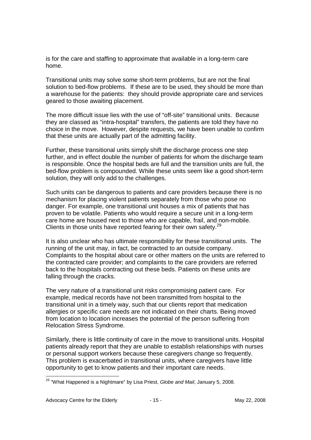is for the care and staffing to approximate that available in a long-term care home.

Transitional units may solve some short-term problems, but are not the final solution to bed-flow problems. If these are to be used, they should be more than a warehouse for the patients: they should provide appropriate care and services geared to those awaiting placement.

The more difficult issue lies with the use of "off-site" transitional units. Because they are classed as "intra-hospital" transfers, the patients are told they have no choice in the move. However, despite requests, we have been unable to confirm that these units are actually part of the admitting facility.

Further, these transitional units simply shift the discharge process one step further, and in effect double the number of patients for whom the discharge team is responsible. Once the hospital beds are full and the transition units are full, the bed-flow problem is compounded. While these units seem like a good short-term solution, they will only add to the challenges.

Such units can be dangerous to patients and care providers because there is no mechanism for placing violent patients separately from those who pose no danger. For example, one transitional unit houses a mix of patients that has proven to be volatile. Patients who would require a secure unit in a long-term care home are housed next to those who are capable, frail, and non-mobile. Clients in those units have reported fearing for their own safety. $29$ 

It is also unclear who has ultimate responsibility for these transitional units. The running of the unit may, in fact, be contracted to an outside company. Complaints to the hospital about care or other matters on the units are referred to the contracted care provider; and complaints to the care providers are referred back to the hospitals contracting out these beds. Patients on these units are falling through the cracks.

The very nature of a transitional unit risks compromising patient care. For example, medical records have not been transmitted from hospital to the transitional unit in a timely way, such that our clients report that medication allergies or specific care needs are not indicated on their charts. Being moved from location to location increases the potential of the person suffering from Relocation Stress Syndrome.

Similarly, there is little continuity of care in the move to transitional units. Hospital patients already report that they are unable to establish relationships with nurses or personal support workers because these caregivers change so frequently. This problem is exacerbated in transitional units, where caregivers have little opportunity to get to know patients and their important care needs.

<sup>-</sup><sup>29</sup> "What Happened is a Nightmare" by Lisa Priest, Globe and Mail, January 5, 2008.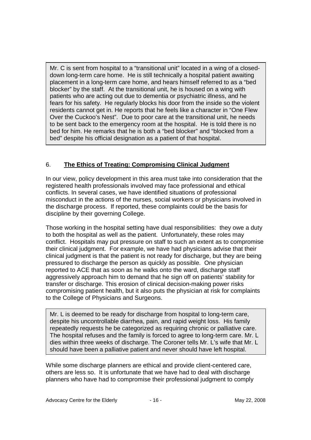Mr. C is sent from hospital to a "transitional unit" located in a wing of a closeddown long-term care home. He is still technically a hospital patient awaiting placement in a long-term care home, and hears himself referred to as a "bed blocker" by the staff. At the transitional unit, he is housed on a wing with patients who are acting out due to dementia or psychiatric illness, and he fears for his safety. He regularly blocks his door from the inside so the violent residents cannot get in. He reports that he feels like a character in "One Flew Over the Cuckoo's Nest". Due to poor care at the transitional unit, he needs to be sent back to the emergency room at the hospital. He is told there is no bed for him. He remarks that he is both a "bed blocker" and "blocked from a bed" despite his official designation as a patient of that hospital.

## 6. **The Ethics of Treating: Compromising Clinical Judgment**

In our view, policy development in this area must take into consideration that the registered health professionals involved may face professional and ethical conflicts. In several cases, we have identified situations of professional misconduct in the actions of the nurses, social workers or physicians involved in the discharge process. If reported, these complaints could be the basis for discipline by their governing College.

Those working in the hospital setting have dual responsibilities: they owe a duty to both the hospital as well as the patient. Unfortunately, these roles may conflict. Hospitals may put pressure on staff to such an extent as to compromise their clinical judgment. For example, we have had physicians advise that their clinical judgment is that the patient is not ready for discharge, but they are being pressured to discharge the person as quickly as possible. One physician reported to ACE that as soon as he walks onto the ward, discharge staff aggressively approach him to demand that he sign off on patients' stability for transfer or discharge. This erosion of clinical decision-making power risks compromising patient health, but it also puts the physician at risk for complaints to the College of Physicians and Surgeons.

Mr. L is deemed to be ready for discharge from hospital to long-term care, despite his uncontrollable diarrhea, pain, and rapid weight loss. His family repeatedly requests he be categorized as requiring chronic or palliative care. The hospital refuses and the family is forced to agree to long-term care. Mr. L dies within three weeks of discharge. The Coroner tells Mr. L's wife that Mr. L should have been a palliative patient and never should have left hospital.

While some discharge planners are ethical and provide client-centered care, others are less so. It is unfortunate that we have had to deal with discharge planners who have had to compromise their professional judgment to comply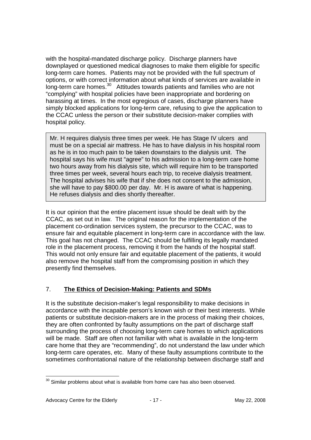with the hospital-mandated discharge policy. Discharge planners have downplayed or questioned medical diagnoses to make them eligible for specific long-term care homes. Patients may not be provided with the full spectrum of options, or with correct information about what kinds of services are available in long-term care homes.<sup>30</sup> Attitudes towards patients and families who are not "complying" with hospital policies have been inappropriate and bordering on harassing at times. In the most egregious of cases, discharge planners have simply blocked applications for long-term care, refusing to give the application to the CCAC unless the person or their substitute decision-maker complies with hospital policy.

Mr. H requires dialysis three times per week. He has Stage IV ulcers and must be on a special air mattress. He has to have dialysis in his hospital room as he is in too much pain to be taken downstairs to the dialysis unit. The hospital says his wife must "agree" to his admission to a long-term care home two hours away from his dialysis site, which will require him to be transported three times per week, several hours each trip, to receive dialysis treatment. The hospital advises his wife that if she does not consent to the admission, she will have to pay \$800.00 per day. Mr. H is aware of what is happening. He refuses dialysis and dies shortly thereafter.

It is our opinion that the entire placement issue should be dealt with by the CCAC, as set out in law. The original reason for the implementation of the placement co-ordination services system, the precursor to the CCAC, was to ensure fair and equitable placement in long-term care in accordance with the law. This goal has not changed. The CCAC should be fulfilling its legally mandated role in the placement process, removing it from the hands of the hospital staff. This would not only ensure fair and equitable placement of the patients, it would also remove the hospital staff from the compromising position in which they presently find themselves.

## 7. **The Ethics of Decision-Making: Patients and SDMs**

It is the substitute decision-maker's legal responsibility to make decisions in accordance with the incapable person's known wish or their best interests. While patients or substitute decision-makers are in the process of making their choices, they are often confronted by faulty assumptions on the part of discharge staff surrounding the process of choosing long-term care homes to which applications will be made. Staff are often not familiar with what is available in the long-term care home that they are "recommending", do not understand the law under which long-term care operates, etc. Many of these faulty assumptions contribute to the sometimes confrontational nature of the relationship between discharge staff and

<sup>-</sup> $30$  Similar problems about what is available from home care has also been observed.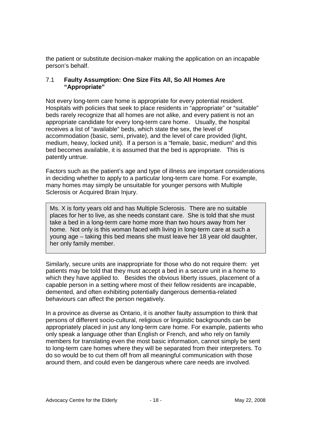the patient or substitute decision-maker making the application on an incapable person's behalf.

#### 7.1 **Faulty Assumption: One Size Fits All, So All Homes Are "Appropriate"**

Not every long-term care home is appropriate for every potential resident. Hospitals with policies that seek to place residents in "appropriate" or "suitable" beds rarely recognize that all homes are not alike, and every patient is not an appropriate candidate for every long-term care home. Usually, the hospital receives a list of "available" beds, which state the sex, the level of accommodation (basic, semi, private), and the level of care provided (light, medium, heavy, locked unit). If a person is a "female, basic, medium" and this bed becomes available, it is assumed that the bed is appropriate. This is patently untrue.

Factors such as the patient's age and type of illness are important considerations in deciding whether to apply to a particular long-term care home. For example, many homes may simply be unsuitable for younger persons with Multiple Sclerosis or Acquired Brain Injury.

Ms. X is forty years old and has Multiple Sclerosis. There are no suitable places for her to live, as she needs constant care. She is told that she must take a bed in a long-term care home more than two hours away from her home. Not only is this woman faced with living in long-term care at such a young age – taking this bed means she must leave her 18 year old daughter, her only family member.

Similarly, secure units are inappropriate for those who do not require them: yet patients may be told that they must accept a bed in a secure unit in a home to which they have applied to. Besides the obvious liberty issues, placement of a capable person in a setting where most of their fellow residents are incapable, demented, and often exhibiting potentially dangerous dementia-related behaviours can affect the person negatively.

In a province as diverse as Ontario, it is another faulty assumption to think that persons of different socio-cultural, religious or linguistic backgrounds can be appropriately placed in just any long-term care home. For example, patients who only speak a language other than English or French, and who rely on family members for translating even the most basic information, cannot simply be sent to long-term care homes where they will be separated from their interpreters. To do so would be to cut them off from all meaningful communication with those around them, and could even be dangerous where care needs are involved.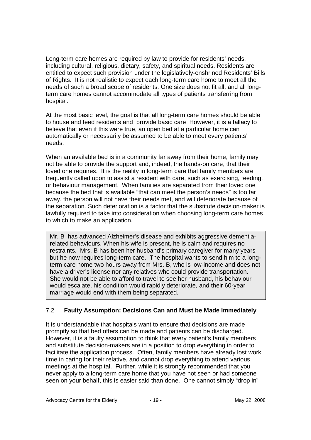Long-term care homes are required by law to provide for residents' needs, including cultural, religious, dietary, safety, and spiritual needs. Residents are entitled to expect such provision under the legislatively-enshrined Residents' Bills of Rights. It is not realistic to expect each long-term care home to meet all the needs of such a broad scope of residents. One size does not fit all, and all longterm care homes cannot accommodate all types of patients transferring from hospital.

At the most basic level, the goal is that all long-term care homes should be able to house and feed residents and provide basic care However, it is a fallacy to believe that even if this were true, an open bed at a particular home can automatically or necessarily be assumed to be able to meet every patients' needs.

When an available bed is in a community far away from their home, family may not be able to provide the support and, indeed, the hands-on care, that their loved one requires. It is the reality in long-term care that family members are frequently called upon to assist a resident with care, such as exercising, feeding, or behaviour management. When families are separated from their loved one because the bed that is available "that can meet the person's needs" is too far away, the person will not have their needs met, and will deteriorate because of the separation. Such deterioration is a factor that the substitute decision-maker is lawfully required to take into consideration when choosing long-term care homes to which to make an application.

Mr. B has advanced Alzheimer's disease and exhibits aggressive dementiarelated behaviours. When his wife is present, he is calm and requires no restraints. Mrs. B has been her husband's primary caregiver for many years but he now requires long-term care. The hospital wants to send him to a longterm care home two hours away from Mrs. B, who is low-income and does not have a driver's license nor any relatives who could provide transportation. She would not be able to afford to travel to see her husband, his behaviour would escalate, his condition would rapidly deteriorate, and their 60-year marriage would end with them being separated.

## 7.2 **Faulty Assumption: Decisions Can and Must be Made Immediately**

It is understandable that hospitals want to ensure that decisions are made promptly so that bed offers can be made and patients can be discharged. However, it is a faulty assumption to think that every patient's family members and substitute decision-makers are in a position to drop everything in order to facilitate the application process. Often, family members have already lost work time in caring for their relative, and cannot drop everything to attend various meetings at the hospital. Further, while it is strongly recommended that you never apply to a long-term care home that you have not seen or had someone seen on your behalf, this is easier said than done. One cannot simply "drop in"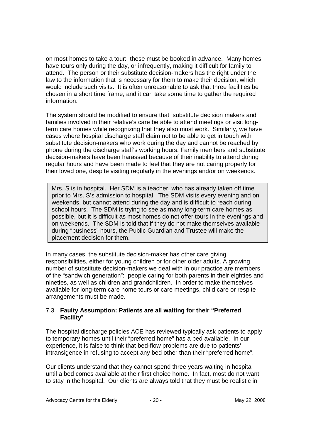on most homes to take a tour: these must be booked in advance. Many homes have tours only during the day, or infrequently, making it difficult for family to attend. The person or their substitute decision-makers has the right under the law to the information that is necessary for them to make their decision, which would include such visits. It is often unreasonable to ask that three facilities be chosen in a short time frame, and it can take some time to gather the required information.

The system should be modified to ensure that substitute decision makers and families involved in their relative's care be able to attend meetings or visit longterm care homes while recognizing that they also must work. Similarly, we have cases where hospital discharge staff claim not to be able to get in touch with substitute decision-makers who work during the day and cannot be reached by phone during the discharge staff's working hours. Family members and substitute decision-makers have been harassed because of their inability to attend during regular hours and have been made to feel that they are not caring properly for their loved one, despite visiting regularly in the evenings and/or on weekends.

Mrs. S is in hospital. Her SDM is a teacher, who has already taken off time prior to Mrs. S's admission to hospital. The SDM visits every evening and on weekends, but cannot attend during the day and is difficult to reach during school hours. The SDM is trying to see as many long-term care homes as possible, but it is difficult as most homes do not offer tours in the evenings and on weekends. The SDM is told that if they do not make themselves available during "business" hours, the Public Guardian and Trustee will make the placement decision for them.

In many cases, the substitute decision-maker has other care giving responsibilities, either for young children or for other older adults. A growing number of substitute decision-makers we deal with in our practice are members of the "sandwich generation": people caring for both parents in their eighties and nineties, as well as children and grandchildren. In order to make themselves available for long-term care home tours or care meetings, child care or respite arrangements must be made.

#### 7.3 **Faulty Assumption: Patients are all waiting for their "Preferred Facility**"

The hospital discharge policies ACE has reviewed typically ask patients to apply to temporary homes until their "preferred home" has a bed available. In our experience, it is false to think that bed-flow problems are due to patients' intransigence in refusing to accept any bed other than their "preferred home".

Our clients understand that they cannot spend three years waiting in hospital until a bed comes available at their first choice home. In fact, most do not want to stay in the hospital. Our clients are always told that they must be realistic in